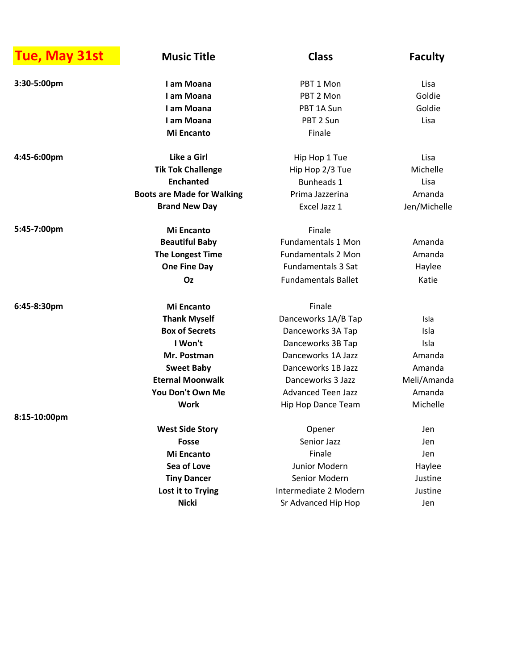| Tue, May 31st | <b>Music Title</b>                | <b>Class</b>               | <b>Faculty</b> |
|---------------|-----------------------------------|----------------------------|----------------|
| 3:30-5:00pm   | I am Moana                        | PBT 1 Mon                  | Lisa           |
|               | I am Moana                        | PBT 2 Mon                  | Goldie         |
|               | I am Moana                        | PBT 1A Sun                 | Goldie         |
|               | I am Moana                        | PBT 2 Sun                  | Lisa           |
|               | <b>Mi Encanto</b>                 | Finale                     |                |
| 4:45-6:00pm   | Like a Girl                       | Hip Hop 1 Tue              | Lisa           |
|               | <b>Tik Tok Challenge</b>          | Hip Hop 2/3 Tue            | Michelle       |
|               | <b>Enchanted</b>                  | <b>Bunheads 1</b>          | Lisa           |
|               | <b>Boots are Made for Walking</b> | Prima Jazzerina            | Amanda         |
|               | <b>Brand New Day</b>              | Excel Jazz 1               | Jen/Michelle   |
| 5:45-7:00pm   | <b>Mi Encanto</b>                 | Finale                     |                |
|               | <b>Beautiful Baby</b>             | <b>Fundamentals 1 Mon</b>  | Amanda         |
|               | The Longest Time                  | <b>Fundamentals 2 Mon</b>  | Amanda         |
|               | <b>One Fine Day</b>               | <b>Fundamentals 3 Sat</b>  | Haylee         |
|               | Oz                                | <b>Fundamentals Ballet</b> | Katie          |
| 6:45-8:30pm   | <b>Mi Encanto</b>                 | Finale                     |                |
|               | <b>Thank Myself</b>               | Danceworks 1A/B Tap        | Isla           |
|               | <b>Box of Secrets</b>             | Danceworks 3A Tap          | Isla           |
|               | I Won't                           | Danceworks 3B Tap          | Isla           |
|               | Mr. Postman                       | Danceworks 1A Jazz         | Amanda         |
|               | <b>Sweet Baby</b>                 | Danceworks 1B Jazz         | Amanda         |
|               | <b>Eternal Moonwalk</b>           | Danceworks 3 Jazz          | Meli/Amanda    |
|               | You Don't Own Me                  | <b>Advanced Teen Jazz</b>  | Amanda         |
|               | <b>Work</b>                       | Hip Hop Dance Team         | Michelle       |
| 8:15-10:00pm  |                                   |                            |                |
|               | <b>West Side Story</b>            | Opener                     | Jen            |
|               | <b>Fosse</b>                      | Senior Jazz                | Jen            |
|               | <b>Mi Encanto</b>                 | Finale                     | Jen            |
|               | Sea of Love                       | Junior Modern              | Haylee         |
|               | <b>Tiny Dancer</b>                | Senior Modern              | Justine        |
|               | Lost it to Trying                 | Intermediate 2 Modern      | Justine        |
|               | <b>Nicki</b>                      | Sr Advanced Hip Hop        | Jen            |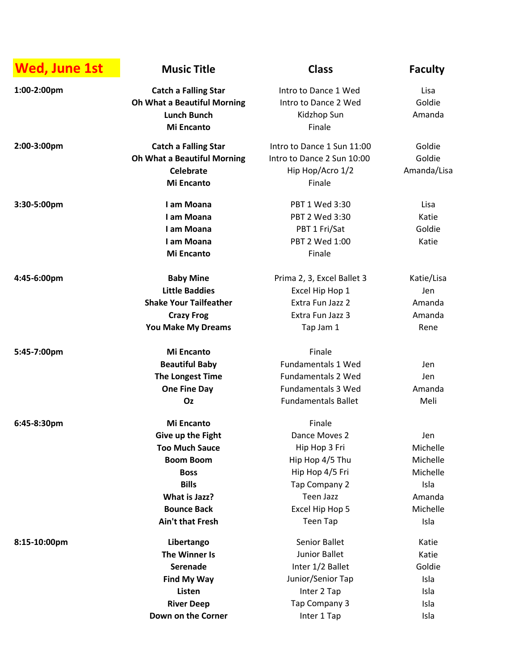| <b>Wed, June 1st</b> | <b>Music Title</b>                 | <b>Class</b>               | <b>Faculty</b> |
|----------------------|------------------------------------|----------------------------|----------------|
| 1:00-2:00pm          | <b>Catch a Falling Star</b>        | Intro to Dance 1 Wed       | Lisa           |
|                      | <b>Oh What a Beautiful Morning</b> | Intro to Dance 2 Wed       | Goldie         |
|                      | <b>Lunch Bunch</b>                 | Kidzhop Sun                | Amanda         |
|                      | <b>Mi Encanto</b>                  | Finale                     |                |
| 2:00-3:00pm          | <b>Catch a Falling Star</b>        | Intro to Dance 1 Sun 11:00 | Goldie         |
|                      | <b>Oh What a Beautiful Morning</b> | Intro to Dance 2 Sun 10:00 | Goldie         |
|                      | <b>Celebrate</b>                   | Hip Hop/Acro 1/2           | Amanda/Lisa    |
|                      | <b>Mi Encanto</b>                  | Finale                     |                |
| 3:30-5:00pm          | I am Moana                         | PBT 1 Wed 3:30             | Lisa           |
|                      | I am Moana                         | PBT 2 Wed 3:30             | Katie          |
|                      | I am Moana                         | PBT 1 Fri/Sat              | Goldie         |
|                      | I am Moana                         | PBT 2 Wed 1:00             | Katie          |
|                      | <b>Mi Encanto</b>                  | Finale                     |                |
| 4:45-6:00pm          | <b>Baby Mine</b>                   | Prima 2, 3, Excel Ballet 3 | Katie/Lisa     |
|                      | <b>Little Baddies</b>              | Excel Hip Hop 1            | Jen            |
|                      | <b>Shake Your Tailfeather</b>      | Extra Fun Jazz 2           | Amanda         |
|                      | <b>Crazy Frog</b>                  | Extra Fun Jazz 3           | Amanda         |
|                      | <b>You Make My Dreams</b>          | Tap Jam 1                  | Rene           |
| 5:45-7:00pm          | <b>Mi Encanto</b>                  | Finale                     |                |
|                      | <b>Beautiful Baby</b>              | <b>Fundamentals 1 Wed</b>  | Jen            |
|                      | The Longest Time                   | <b>Fundamentals 2 Wed</b>  | Jen            |
|                      | <b>One Fine Day</b>                | <b>Fundamentals 3 Wed</b>  | Amanda         |
|                      | Oz                                 | <b>Fundamentals Ballet</b> | Meli           |
| 6:45-8:30pm          | <b>Mi Encanto</b>                  | Finale                     |                |
|                      | Give up the Fight                  | Dance Moves 2              | Jen            |
|                      | <b>Too Much Sauce</b>              | Hip Hop 3 Fri              | Michelle       |
|                      | <b>Boom Boom</b>                   | Hip Hop 4/5 Thu            | Michelle       |
|                      | <b>Boss</b>                        | Hip Hop 4/5 Fri            | Michelle       |
|                      | <b>Bills</b>                       | Tap Company 2              | Isla           |
|                      | What is Jazz?                      | <b>Teen Jazz</b>           | Amanda         |
|                      | <b>Bounce Back</b>                 | Excel Hip Hop 5            | Michelle       |
|                      | <b>Ain't that Fresh</b>            | Teen Tap                   | Isla           |
| 8:15-10:00pm         | Libertango                         | Senior Ballet              | Katie          |
|                      | The Winner Is                      | Junior Ballet              | Katie          |
|                      | Serenade                           | Inter 1/2 Ballet           | Goldie         |
|                      | Find My Way                        | Junior/Senior Tap          | Isla           |
|                      | Listen                             | Inter 2 Tap                | Isla           |
|                      | <b>River Deep</b>                  | Tap Company 3              | Isla           |
|                      | Down on the Corner                 | Inter 1 Tap                | Isla           |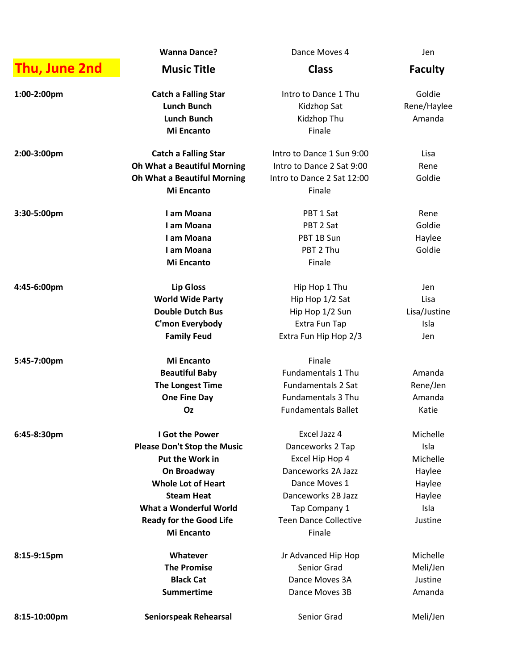|               | <b>Wanna Dance?</b>                | Dance Moves 4                | Jen            |
|---------------|------------------------------------|------------------------------|----------------|
| Thu, June 2nd | <b>Music Title</b>                 | <b>Class</b>                 | <b>Faculty</b> |
| 1:00-2:00pm   | <b>Catch a Falling Star</b>        | Intro to Dance 1 Thu         | Goldie         |
|               | <b>Lunch Bunch</b>                 | Kidzhop Sat                  | Rene/Haylee    |
|               | <b>Lunch Bunch</b>                 | Kidzhop Thu                  | Amanda         |
|               | <b>Mi Encanto</b>                  | Finale                       |                |
| 2:00-3:00pm   | <b>Catch a Falling Star</b>        | Intro to Dance 1 Sun 9:00    | Lisa           |
|               | <b>Oh What a Beautiful Morning</b> | Intro to Dance 2 Sat 9:00    | Rene           |
|               | <b>Oh What a Beautiful Morning</b> | Intro to Dance 2 Sat 12:00   | Goldie         |
|               | <b>Mi Encanto</b>                  | Finale                       |                |
| 3:30-5:00pm   | I am Moana                         | PBT 1 Sat                    | Rene           |
|               | I am Moana                         | PBT 2 Sat                    | Goldie         |
|               | I am Moana                         | PBT 1B Sun                   | Haylee         |
|               | I am Moana                         | PBT 2 Thu                    | Goldie         |
|               | <b>Mi Encanto</b>                  | Finale                       |                |
| 4:45-6:00pm   | <b>Lip Gloss</b>                   | Hip Hop 1 Thu                | Jen            |
|               | <b>World Wide Party</b>            | Hip Hop 1/2 Sat              | Lisa           |
|               | <b>Double Dutch Bus</b>            | Hip Hop 1/2 Sun              | Lisa/Justine   |
|               | C'mon Everybody                    | Extra Fun Tap                | Isla           |
|               | <b>Family Feud</b>                 | Extra Fun Hip Hop 2/3        | Jen            |
| 5:45-7:00pm   | <b>Mi Encanto</b>                  | Finale                       |                |
|               | <b>Beautiful Baby</b>              | <b>Fundamentals 1 Thu</b>    | Amanda         |
|               | The Longest Time                   | <b>Fundamentals 2 Sat</b>    | Rene/Jen       |
|               | <b>One Fine Day</b>                | <b>Fundamentals 3 Thu</b>    | Amanda         |
|               | Oz                                 | <b>Fundamentals Ballet</b>   | Katie          |
| 6:45-8:30pm   | I Got the Power                    | Excel Jazz 4                 | Michelle       |
|               | <b>Please Don't Stop the Music</b> | Danceworks 2 Tap             | Isla           |
|               | <b>Put the Work in</b>             | Excel Hip Hop 4              | Michelle       |
|               | On Broadway                        | Danceworks 2A Jazz           | Haylee         |
|               | <b>Whole Lot of Heart</b>          | Dance Moves 1                | Haylee         |
|               | <b>Steam Heat</b>                  | Danceworks 2B Jazz           | Haylee         |
|               | What a Wonderful World             | Tap Company 1                | Isla           |
|               | <b>Ready for the Good Life</b>     | <b>Teen Dance Collective</b> | Justine        |
|               | <b>Mi Encanto</b>                  | Finale                       |                |
| 8:15-9:15pm   | Whatever                           | Jr Advanced Hip Hop          | Michelle       |
|               | <b>The Promise</b>                 | Senior Grad                  | Meli/Jen       |
|               | <b>Black Cat</b>                   | Dance Moves 3A               | Justine        |
|               | <b>Summertime</b>                  | Dance Moves 3B               | Amanda         |
| 8:15-10:00pm  | <b>Seniorspeak Rehearsal</b>       | Senior Grad                  | Meli/Jen       |